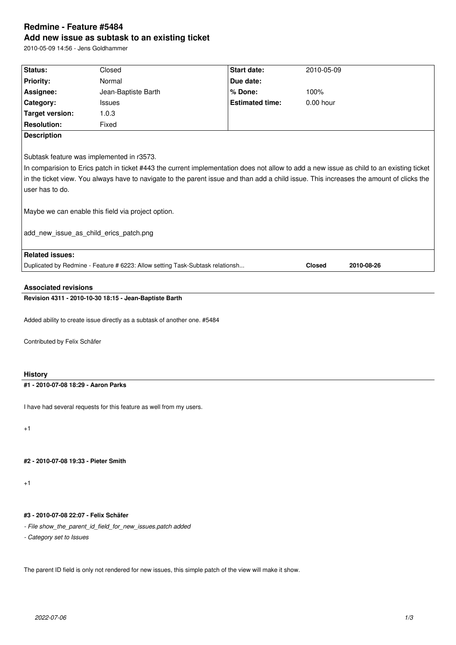# **Redmine - Feature #5484 Add new issue as subtask to an existing ticket**

2010-05-09 14:56 - Jens Goldhammer

| Status:                                                                                                                                  | Closed                                                                        | <b>Start date:</b>     | 2010-05-09    |            |
|------------------------------------------------------------------------------------------------------------------------------------------|-------------------------------------------------------------------------------|------------------------|---------------|------------|
| <b>Priority:</b>                                                                                                                         | Normal                                                                        | Due date:              |               |            |
| Assignee:                                                                                                                                | Jean-Baptiste Barth                                                           | % Done:                | 100%          |            |
| Category:                                                                                                                                | <b>Issues</b>                                                                 | <b>Estimated time:</b> | $0.00$ hour   |            |
| <b>Target version:</b>                                                                                                                   | 1.0.3                                                                         |                        |               |            |
| <b>Resolution:</b>                                                                                                                       | Fixed                                                                         |                        |               |            |
| <b>Description</b>                                                                                                                       |                                                                               |                        |               |            |
|                                                                                                                                          |                                                                               |                        |               |            |
| Subtask feature was implemented in r3573.                                                                                                |                                                                               |                        |               |            |
| In comparision to Erics patch in ticket #443 the current implementation does not allow to add a new issue as child to an existing ticket |                                                                               |                        |               |            |
| in the ticket view. You always have to navigate to the parent issue and than add a child issue. This increases the amount of clicks the  |                                                                               |                        |               |            |
| user has to do.                                                                                                                          |                                                                               |                        |               |            |
|                                                                                                                                          |                                                                               |                        |               |            |
| Maybe we can enable this field via project option.                                                                                       |                                                                               |                        |               |            |
|                                                                                                                                          |                                                                               |                        |               |            |
| add new issue as child erics patch.png                                                                                                   |                                                                               |                        |               |            |
|                                                                                                                                          |                                                                               |                        |               |            |
| <b>Related issues:</b>                                                                                                                   |                                                                               |                        |               |            |
|                                                                                                                                          | Duplicated by Redmine - Feature # 6223: Allow setting Task-Subtask relationsh |                        | <b>Closed</b> | 2010-08-26 |
|                                                                                                                                          |                                                                               |                        |               |            |
| <b>Associated revisions</b>                                                                                                              |                                                                               |                        |               |            |
| Revision 4311 - 2010-10-30 18:15 - Jean-Baptiste Barth                                                                                   |                                                                               |                        |               |            |
|                                                                                                                                          |                                                                               |                        |               |            |
| Added ability to create issue directly as a subtask of another one. #5484                                                                |                                                                               |                        |               |            |
|                                                                                                                                          |                                                                               |                        |               |            |
| Contributed by Felix Schäfer                                                                                                             |                                                                               |                        |               |            |

# **History**

# **#1 - 2010-07-08 18:29 - Aaron Parks**

I have had several requests for this feature as well from my users.

+1

# **#2 - 2010-07-08 19:33 - Pieter Smith**

+1

# **#3 - 2010-07-08 22:07 - Felix Schäfer**

- *File show\_the\_parent\_id\_field\_for\_new\_issues.patch added*
- *Category set to Issues*

The parent ID field is only not rendered for new issues, this simple patch of the view will make it show.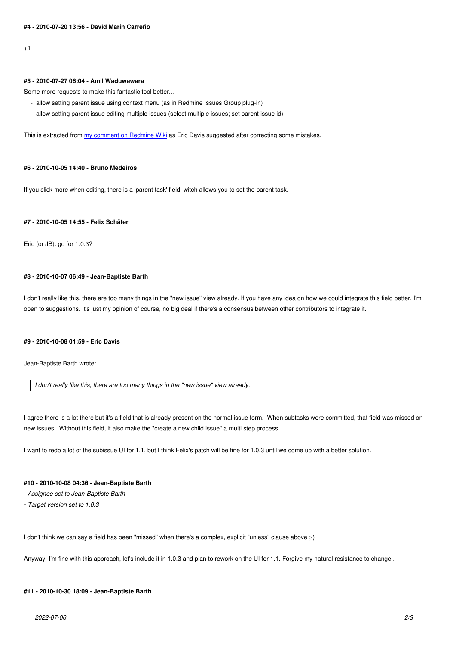### **#5 - 2010-07-27 06:04 - Amil Waduwawara**

Some more requests to make this fantastic tool better...

- allow setting parent issue using context menu (as in Redmine Issues Group plug-in)
- allow setting parent issue editing multiple issues (select multiple issues; set parent issue id)

This is extracted from my comment on Redmine Wiki as Eric Davis suggested after correcting some mistakes.

#### **#6 - 2010-10-05 14:4[0 - Bruno Medeiros](http://www.redmine.org/news/42)**

If you click more when editing, there is a 'parent task' field, witch allows you to set the parent task.

#### **#7 - 2010-10-05 14:55 - Felix Schäfer**

Eric (or JB): go for 1.0.3?

#### **#8 - 2010-10-07 06:49 - Jean-Baptiste Barth**

I don't really like this, there are too many things in the "new issue" view already. If you have any idea on how we could integrate this field better, I'm open to suggestions. It's just my opinion of course, no big deal if there's a consensus between other contributors to integrate it.

### **#9 - 2010-10-08 01:59 - Eric Davis**

Jean-Baptiste Barth wrote:

*I don't really like this, there are too many things in the "new issue" view already.*

I agree there is a lot there but it's a field that is already present on the normal issue form. When subtasks were committed, that field was missed on new issues. Without this field, it also make the "create a new child issue" a multi step process.

I want to redo a lot of the subissue UI for 1.1, but I think Felix's patch will be fine for 1.0.3 until we come up with a better solution.

#### **#10 - 2010-10-08 04:36 - Jean-Baptiste Barth**

- *Assignee set to Jean-Baptiste Barth*
- *Target version set to 1.0.3*

I don't think we can say a field has been "missed" when there's a complex, explicit "unless" clause above ;-)

Anyway, I'm fine with this approach, let's include it in 1.0.3 and plan to rework on the UI for 1.1. Forgive my natural resistance to change..

#### **#11 - 2010-10-30 18:09 - Jean-Baptiste Barth**